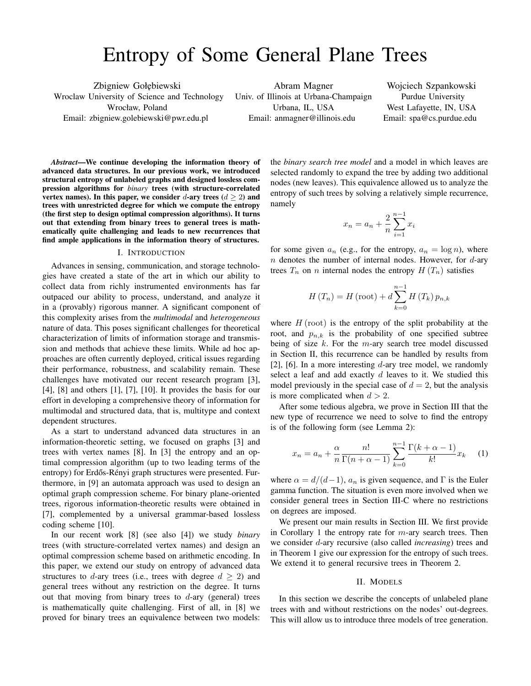# Entropy of Some General Plane Trees

Zbigniew Gołębiewski Wroclaw University of Science and Technology Wrocław, Poland Email: zbigniew.golebiewski@pwr.edu.pl

Abram Magner Univ. of Illinois at Urbana-Champaign Urbana, IL, USA Email: anmagner@illinois.edu

Wojciech Szpankowski Purdue University West Lafayette, IN, USA Email: spa@cs.purdue.edu

*Abstract*—We continue developing the information theory of advanced data structures. In our previous work, we introduced structural entropy of unlabeled graphs and designed lossless compression algorithms for *binary* trees (with structure-correlated vertex names). In this paper, we consider d-ary trees  $(d > 2)$  and trees with unrestricted degree for which we compute the entropy (the first step to design optimal compression algorithms). It turns out that extending from binary trees to general trees is mathematically quite challenging and leads to new recurrences that find ample applications in the information theory of structures.

#### I. INTRODUCTION

Advances in sensing, communication, and storage technologies have created a state of the art in which our ability to collect data from richly instrumented environments has far outpaced our ability to process, understand, and analyze it in a (provably) rigorous manner. A significant component of this complexity arises from the *multimodal* and *heterogeneous* nature of data. This poses significant challenges for theoretical characterization of limits of information storage and transmission and methods that achieve these limits. While ad hoc approaches are often currently deployed, critical issues regarding their performance, robustness, and scalability remain. These challenges have motivated our recent research program [3], [4], [8] and others [1], [7], [10]. It provides the basis for our effort in developing a comprehensive theory of information for multimodal and structured data, that is, multitype and context dependent structures.

As a start to understand advanced data structures in an information-theoretic setting, we focused on graphs [3] and trees with vertex names [8]. In [3] the entropy and an optimal compression algorithm (up to two leading terms of the entropy) for Erdős-Rényi graph structures were presented. Furthermore, in [9] an automata approach was used to design an optimal graph compression scheme. For binary plane-oriented trees, rigorous information-theoretic results were obtained in [7], complemented by a universal grammar-based lossless coding scheme [10].

In our recent work [8] (see also [4]) we study *binary* trees (with structure-correlated vertex names) and design an optimal compression scheme based on arithmetic encoding. In this paper, we extend our study on entropy of advanced data structures to d-ary trees (i.e., trees with degree  $d \geq 2$ ) and general trees without any restriction on the degree. It turns out that moving from binary trees to  $d$ -ary (general) trees is mathematically quite challenging. First of all, in [8] we proved for binary trees an equivalence between two models: the *binary search tree model* and a model in which leaves are selected randomly to expand the tree by adding two additional nodes (new leaves). This equivalence allowed us to analyze the entropy of such trees by solving a relatively simple recurrence, namely

$$
x_n = a_n + \frac{2}{n} \sum_{i=1}^{n-1} x_i
$$

for some given  $a_n$  (e.g., for the entropy,  $a_n = \log n$ ), where n denotes the number of internal nodes. However, for  $d$ -ary trees  $T_n$  on n internal nodes the entropy  $H(T_n)$  satisfies

$$
H(T_n) = H(\text{root}) + d \sum_{k=0}^{n-1} H(T_k) p_{n,k}
$$

where  $H$  (root) is the entropy of the split probability at the root, and  $p_{n,k}$  is the probability of one specified subtree being of size  $k$ . For the m-ary search tree model discussed in Section II, this recurrence can be handled by results from [2], [6]. In a more interesting  $d$ -ary tree model, we randomly select a leaf and add exactly  $d$  leaves to it. We studied this model previously in the special case of  $d = 2$ , but the analysis is more complicated when  $d > 2$ .

After some tedious algebra, we prove in Section III that the new type of recurrence we need to solve to find the entropy is of the following form (see Lemma 2):

$$
x_n = a_n + \frac{\alpha}{n} \frac{n!}{\Gamma(n + \alpha - 1)} \sum_{k=0}^{n-1} \frac{\Gamma(k + \alpha - 1)}{k!} x_k \tag{1}
$$

where  $\alpha = d/(d-1)$ ,  $a_n$  is given sequence, and  $\Gamma$  is the Euler gamma function. The situation is even more involved when we consider general trees in Section III-C where no restrictions on degrees are imposed.

We present our main results in Section III. We first provide in Corollary 1 the entropy rate for  $m$ -ary search trees. Then we consider d-ary recursive (also called *increasing*) trees and in Theorem 1 give our expression for the entropy of such trees. We extend it to general recursive trees in Theorem 2.

#### II. MODELS

In this section we describe the concepts of unlabeled plane trees with and without restrictions on the nodes' out-degrees. This will allow us to introduce three models of tree generation.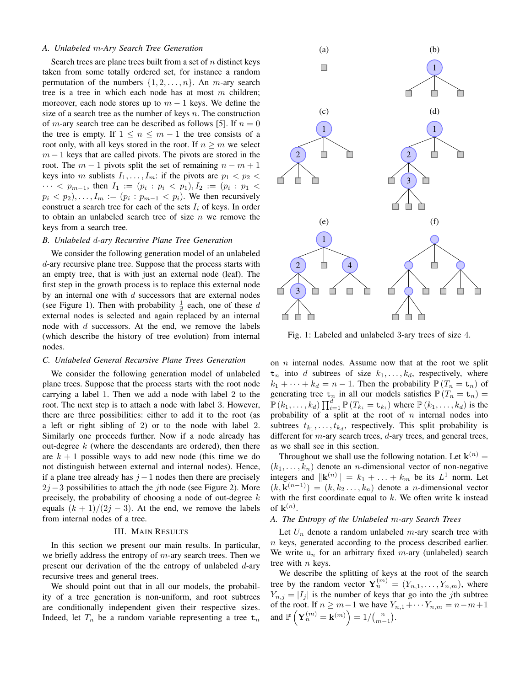## *A. Unlabeled* m*-Ary Search Tree Generation*

Search trees are plane trees built from a set of  $n$  distinct keys taken from some totally ordered set, for instance a random permutation of the numbers  $\{1, 2, \ldots, n\}$ . An *m*-ary search tree is a tree in which each node has at most  $m$  children; moreover, each node stores up to  $m - 1$  keys. We define the size of a search tree as the number of keys  $n$ . The construction of *m*-ary search tree can be described as follows [5]. If  $n = 0$ the tree is empty. If  $1 \leq n \leq m-1$  the tree consists of a root only, with all keys stored in the root. If  $n \geq m$  we select  $m-1$  keys that are called pivots. The pivots are stored in the root. The  $m - 1$  pivots split the set of remaining  $n - m + 1$ keys into m sublists  $I_1, \ldots, I_m$ : if the pivots are  $p_1 < p_2 <$  $\cdots$  <  $p_{m-1}$ , then  $I_1 := (p_i : p_i < p_1)$ ,  $I_2 := (p_i : p_1 <$  $p_i < p_2, \ldots, I_m := (p_i : p_{m-1} < p_i)$ . We then recursively construct a search tree for each of the sets  $I_i$  of keys. In order to obtain an unlabeled search tree of size  $n$  we remove the keys from a search tree.

## *B. Unlabeled* d*-ary Recursive Plane Tree Generation*

We consider the following generation model of an unlabeled d-ary recursive plane tree. Suppose that the process starts with an empty tree, that is with just an external node (leaf). The first step in the growth process is to replace this external node by an internal one with  $d$  successors that are external nodes (see Figure 1). Then with probability  $\frac{1}{d}$  each, one of these d external nodes is selected and again replaced by an internal node with d successors. At the end, we remove the labels (which describe the history of tree evolution) from internal nodes.

#### *C. Unlabeled General Recursive Plane Trees Generation*

We consider the following generation model of unlabeled plane trees. Suppose that the process starts with the root node carrying a label 1. Then we add a node with label 2 to the root. The next step is to attach a node with label 3. However, there are three possibilities: either to add it to the root (as a left or right sibling of 2) or to the node with label 2. Similarly one proceeds further. Now if a node already has out-degree  $k$  (where the descendants are ordered), then there are  $k + 1$  possible ways to add new node (this time we do not distinguish between external and internal nodes). Hence, if a plane tree already has  $j - 1$  nodes then there are precisely  $2j-3$  possibilities to attach the *j*th node (see Figure 2). More precisely, the probability of choosing a node of out-degree  $k$ equals  $(k + 1)/(2j - 3)$ . At the end, we remove the labels from internal nodes of a tree.

## III. MAIN RESULTS

In this section we present our main results. In particular, we briefly address the entropy of  $m$ -ary search trees. Then we present our derivation of the the entropy of unlabeled d-ary recursive trees and general trees.

We should point out that in all our models, the probability of a tree generation is non-uniform, and root subtrees are conditionally independent given their respective sizes. Indeed, let  $T_n$  be a random variable representing a tree  $t_n$ 



Fig. 1: Labeled and unlabeled 3-ary trees of size 4.

on  $n$  internal nodes. Assume now that at the root we split  $t_n$  into d subtrees of size  $k_1, \ldots, k_d$ , respectively, where  $k_1 + \cdots + k_d = n - 1$ . Then the probability  $\mathbb{P}(T_n = \mathbf{t}_n)$  of generating tree  $t_n$  in all our models satisfies  $\mathbb{P}(T_n = t_n) =$  $\mathbb{P}(k_1,\ldots,k_d)\prod_{i=1}^d \mathbb{P}(T_{k_i}=\mathtt{t}_{k_i})$  where  $\mathbb{P}(k_1,\ldots,k_d)$  is the probability of a split at the root of  $n$  internal nodes into subtrees  $t_{k_1}, \ldots, t_{k_d}$ , respectively. This split probability is different for  $m$ -ary search trees,  $d$ -ary trees, and general trees, as we shall see in this section.

Throughout we shall use the following notation. Let  $\mathbf{k}^{(n)}$  =  $(k_1, \ldots, k_n)$  denote an *n*-dimensional vector of non-negative integers and  $\|\mathbf{k}^{(n)}\| = k_1 + \ldots + k_m$  be its  $L^1$  norm. Let  $(k, \mathbf{k}^{(n-1)}) = (k, k_2 \dots, k_n)$  denote a *n*-dimensional vector with the first coordinate equal to  $k$ . We often write  $k$  instead of  $\mathbf{k}^{(n)}$ .

## *A. The Entropy of the Unlabeled* m*-ary Search Trees*

Let  $U_n$  denote a random unlabeled m-ary search tree with  $n$  keys, generated according to the process described earlier. We write  $u_n$  for an arbitrary fixed m-ary (unlabeled) search tree with *n* keys.

We describe the splitting of keys at the root of the search tree by the random vector  $\mathbf{Y}_n^{(m)} = (Y_{n,1}, \ldots, Y_{n,m})$ , where  $Y_{n,j} = |I_j|$  is the number of keys that go into the jth subtree of the root. If  $n \geq m-1$  we have  $Y_{n,1} + \cdots + Y_{n,m} = n-m+1$ and  $\mathbb{P}\left(\mathbf{Y}_{n}^{(m)}=\mathbf{k}^{(m)}\right)=1/{n \choose m-1}.$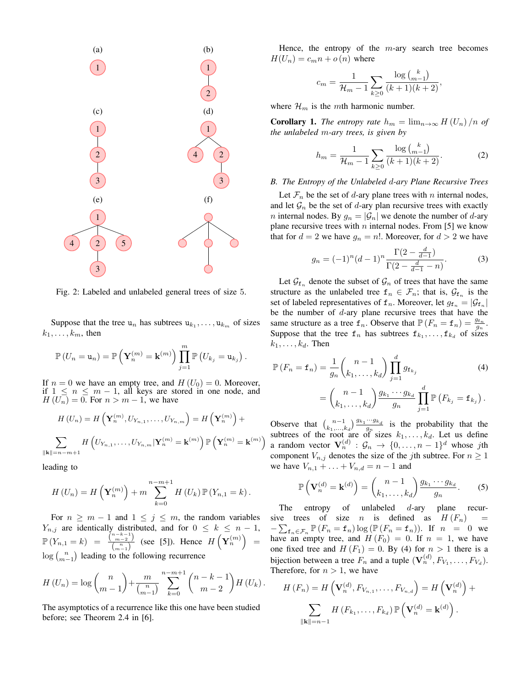

Fig. 2: Labeled and unlabeled general trees of size 5.

Suppose that the tree  $u_n$  has subtrees  $u_{k_1}, \ldots, u_{k_m}$  of sizes  $k_1, \ldots, k_m$ , then

$$
\mathbb{P}\left(U_n=\mathbf{u}_n\right)=\mathbb{P}\left(\mathbf{Y}_n^{(m)}=\mathbf{k}^{(m)}\right)\prod_{j=1}^m\mathbb{P}\left(U_{k_j}=\mathbf{u}_{k_j}\right).
$$

If  $n = 0$  we have an empty tree, and  $H(U_0) = 0$ . Moreover, if  $1 \leq n \leq m - 1$ , all keys are stored in one node, and  $H(U_n) = 0$ . For  $n > m - 1$ , we have

$$
H\left(U_{n}\right) = H\left(\mathbf{Y}_{n}^{\left(m\right)}, U_{Y_{n,1}}, \dots, U_{Y_{n,m}}\right) = H\left(\mathbf{Y}_{n}^{\left(m\right)}\right) +
$$

$$
\sum_{\|\mathbf{k}\|=n-m+1} H\left(U_{Y_{n,1}}, \dots, U_{Y_{n,m}}|\mathbf{Y}_{n}^{\left(m\right)} = \mathbf{k}^{\left(m\right)}\right) \mathbb{P}\left(\mathbf{Y}_{n}^{\left(m\right)} = \mathbf{k}^{\left(m\right)}\right)
$$

leading to

$$
H(U_n) = H\left(\mathbf{Y}_n^{(m)}\right) + m \sum_{k=0}^{n-m+1} H\left(U_k\right) \mathbb{P}\left(Y_{n,1} = k\right).
$$

For  $n \geq m - 1$  and  $1 \leq j \leq m$ , the random variables  $Y_{n,j}$  are identically distributed, and for  $0 \leq k \leq n-1$ ,  $\mathbb{P}\left(Y_{n,1}=k\right) = \frac{\binom{n-k-1}{m-2}}{\binom{n}{k}}$  $\frac{\binom{n}{m-1}}{\binom{n}{m-1}}$  (see [5]). Hence  $H\left(\mathbf{Y}_n^{(m)}\right)$  =  $log\binom{n}{m-1}$  leading to the following recurrence

$$
H(U_n) = \log {n \choose m-1} + \frac{m}{\binom{n}{m-1}} \sum_{k=0}^{n-m+1} {n-k-1 \choose m-2} H(U_k).
$$

The asymptotics of a recurrence like this one have been studied before; see Theorem 2.4 in [6].

Hence, the entropy of the  $m$ -ary search tree becomes  $H(U_n) = c_m n + o(n)$  where

$$
c_m = \frac{1}{\mathcal{H}_m - 1} \sum_{k \ge 0} \frac{\log {k \choose m-1}}{(k+1)(k+2)},
$$

where  $\mathcal{H}_m$  is the mth harmonic number.

**Corollary 1.** *The entropy rate*  $h_m = \lim_{n \to \infty} H(U_n) / n$  *of the unlabeled* m*-ary trees, is given by*

$$
h_m = \frac{1}{\mathcal{H}_m - 1} \sum_{k \ge 0} \frac{\log {k \choose m-1}}{(k+1)(k+2)}.
$$
 (2)

#### *B. The Entropy of the Unlabeled* d*-ary Plane Recursive Trees*

Let  $\mathcal{F}_n$  be the set of d-ary plane trees with n internal nodes, and let  $\mathcal{G}_n$  be the set of d-ary plan recursive trees with exactly *n* internal nodes. By  $g_n = |\mathcal{G}_n|$  we denote the number of *d*-ary plane recursive trees with  $n$  internal nodes. From [5] we know that for  $d = 2$  we have  $g_n = n!$ . Moreover, for  $d > 2$  we have

$$
g_n = (-1)^n (d-1)^n \frac{\Gamma(2 - \frac{d}{d-1})}{\Gamma(2 - \frac{d}{d-1} - n)}.
$$
 (3)

Let  $\mathcal{G}_{f_n}$  denote the subset of  $\mathcal{G}_n$  of trees that have the same structure as the unlabeled tree  $f_n \in \mathcal{F}_n$ ; that is,  $\mathcal{G}_{f_n}$  is the set of labeled representatives of  $f_n$ . Moreover, let  $g_{f_n} = |\mathcal{G}_{f_n}|$ be the number of  $d$ -ary plane recursive trees that have the same structure as a tree  $f_n$ . Observe that  $\mathbb{P}(F_n = f_n) = \frac{g_{t_n}}{g_n}$ . Suppose that the tree  $f_n$  has subtrees  $f_{k_1}, \ldots, f_{k_d}$  of sizes  $k_1, \ldots, k_d$ . Then

$$
\mathbb{P}\left(F_n = \mathbf{f}_n\right) = \frac{1}{g_n} \binom{n-1}{k_1, \dots, k_d} \prod_{j=1}^d g_{\mathbf{f}_{k_j}} \tag{4}
$$
\n
$$
= \binom{n-1}{k_1, \dots, k_d} \frac{g_{k_1} \cdots g_{k_d}}{g_n} \prod_{j=1}^d \mathbb{P}\left(F_{k_j} = \mathbf{f}_{k_j}\right).
$$

Observe that  $\binom{n-1}{k_1,\dots,k_d} \frac{g_{k_1}\cdots g_{k_d}}{g_n}$  is the probability that the subtrees of the root are of sizes  $k_1, \ldots, k_d$ . Let us define a random vector  $\mathbf{V}_n^{(d)}$  :  $\mathcal{G}_n \to \{0, \ldots, n-1\}^d$  whose jth component  $V_{n,j}$  denotes the size of the jth subtree. For  $n \geq 1$ we have  $V_{n,1} + ... + V_{n,d} = n - 1$  and

$$
\mathbb{P}\left(\mathbf{V}_n^{(d)} = \mathbf{k}^{(d)}\right) = \binom{n-1}{k_1, \dots, k_d} \frac{g_{k_1} \cdots g_{k_d}}{g_n}.
$$
 (5)

The entropy of unlabeled  $d$ -ary plane recursive trees of size *n* is defined as  $H(F_n)$  =  $-\sum_{\mathbf{f}_n \in \mathcal{F}_n} \mathbb{P}(F_n = \mathbf{f}_n) \log(\mathbb{P}(F_n = \mathbf{f}_n)).$  If  $n = 0$  we have an empty tree, and  $H(F_0) = 0$ . If  $n = 1$ , we have one fixed tree and  $H(F_1) = 0$ . By (4) for  $n > 1$  there is a bijection between a tree  $F_n$  and a tuple  $(\mathbf{V}_n^{(d)}, F_{V_1}, \dots, F_{V_d})$ . Therefore, for  $n > 1$ , we have

$$
H(F_n) = H\left(\mathbf{V}_n^{(d)}, F_{V_{n,1}}, \dots, F_{V_{n,d}}\right) = H\left(\mathbf{V}_n^{(d)}\right) + \sum_{\|\mathbf{k}\| = n-1} H\left(F_{k_1}, \dots, F_{k_d}\right) \mathbb{P}\left(\mathbf{V}_n^{(d)} = \mathbf{k}^{(d)}\right).
$$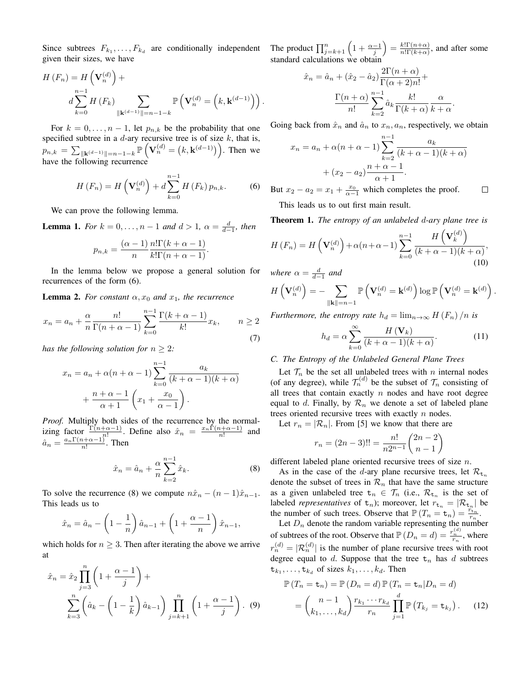Since subtrees  $F_{k_1}, \ldots, F_{k_d}$  are conditionally independent given their sizes, we have

$$
H(F_n) = H\left(\mathbf{V}_n^{(d)}\right) +
$$
  

$$
d \sum_{k=0}^{n-1} H(F_k) \sum_{\|\mathbf{k}^{(d-1)}\| = n-1-k} \mathbb{P}\left(\mathbf{V}_n^{(d)} = \left(k, \mathbf{k}^{(d-1)}\right)\right).
$$

For  $k = 0, \ldots, n - 1$ , let  $p_{n,k}$  be the probability that one specified subtree in a  $d$ -ary recursive tree is of size  $k$ , that is,  $p_{n,k} = \sum_{\|\mathbf{k}^{(d-1)}\| = n-1-k} \mathbb{P}\left(\mathbf{V}_n^{(d)} = (k, \mathbf{k}^{(d-1)})\right)$ . Then we have the following recurrence

$$
H(F_n) = H\left(\mathbf{V}_n^{(d)}\right) + d \sum_{k=0}^{n-1} H\left(F_k\right) p_{n,k}.
$$
 (6)

We can prove the following lemma.

**Lemma 1.** *For*  $k = 0, ..., n - 1$  *and*  $d > 1$ ,  $\alpha = \frac{d}{d-1}$ *, then* 

$$
p_{n,k} = \frac{(\alpha - 1)}{n} \frac{n! \Gamma(k + \alpha - 1)}{k! \Gamma(n + \alpha - 1)}.
$$

In the lemma below we propose a general solution for recurrences of the form (6).

**Lemma 2.** For constant  $\alpha$ ,  $x_0$  and  $x_1$ , the recurrence

$$
x_n = a_n + \frac{\alpha}{n} \frac{n!}{\Gamma(n + \alpha - 1)} \sum_{k=0}^{n-1} \frac{\Gamma(k + \alpha - 1)}{k!} x_k, \qquad n \ge 2
$$
\n(7)

*has the following solution for*  $n > 2$ *:* 

$$
x_n = a_n + \alpha(n + \alpha - 1) \sum_{k=0}^{n-1} \frac{a_k}{(k + \alpha - 1)(k + \alpha)}
$$

$$
+ \frac{n + \alpha - 1}{\alpha + 1} \left( x_1 + \frac{x_0}{\alpha - 1} \right).
$$

*Proof.* Multiply both sides of the recurrence by the normalizing factor  $\frac{\Gamma(n+\alpha-1)}{n!}$ . Define also  $\hat{x}_n = \frac{x_n \Gamma(n+\alpha-1)}{n!}$  and  $\hat{a}_n = \frac{a_n \Gamma(n + \alpha - 1)}{n!}$ . Then

$$
\hat{x}_n = \hat{a}_n + \frac{\alpha}{n} \sum_{k=2}^{n-1} \hat{x}_k.
$$
\n(8)

To solve the recurrence (8) we compute  $n\hat{x}_n - (n-1)\hat{x}_{n-1}$ . This leads us to

$$
\hat{x}_n = \hat{a}_n - \left(1 - \frac{1}{n}\right)\hat{a}_{n-1} + \left(1 + \frac{\alpha - 1}{n}\right)\hat{x}_{n-1},
$$

which holds for  $n \geq 3$ . Then after iterating the above we arrive at

$$
\hat{x}_n = \hat{x}_2 \prod_{j=3}^n \left( 1 + \frac{\alpha - 1}{j} \right) + \sum_{k=3}^n \left( \hat{a}_k - \left( 1 - \frac{1}{k} \right) \hat{a}_{k-1} \right) \prod_{j=k+1}^n \left( 1 + \frac{\alpha - 1}{j} \right). \tag{9}
$$

The product  $\prod_{j=k+1}^{n} \left(1 + \frac{\alpha - 1}{j}\right) = \frac{k!\Gamma(n+\alpha)}{n!\Gamma(k+\alpha)}$  $\frac{\kappa}{n!\Gamma(k+\alpha)}$ , and after some standard calculations we obtain

$$
\hat{x}_n = \hat{a}_n + (\hat{x}_2 - \hat{a}_2) \frac{2\Gamma(n+\alpha)}{\Gamma(\alpha+2)n!} + \frac{\Gamma(n+\alpha)}{n!} \sum_{k=2}^{n-1} \hat{a}_k \frac{k!}{\Gamma(k+\alpha)} \frac{\alpha}{k+\alpha}
$$

.

.

Going back from  $\hat{x}_n$  and  $\hat{a}_n$  to  $x_n, a_n$ , respectively, we obtain

$$
x_n = a_n + \alpha(n+\alpha-1) \sum_{k=2}^{n-1} \frac{a_k}{(k+\alpha-1)(k+\alpha)}
$$

$$
+ (x_2 - a_2) \frac{n+\alpha-1}{\alpha+1}.
$$

But  $x_2 - a_2 = x_1 + \frac{x_0}{\alpha - 1}$  which completes the proof.  $\Box$ 

This leads us to out first main result.

Theorem 1. *The entropy of an unlabeled* d*-ary plane tree is*

$$
H(F_n) = H\left(\mathbf{V}_n^{(d)}\right) + \alpha(n+\alpha-1) \sum_{k=0}^{n-1} \frac{H\left(\mathbf{V}_k^{(d)}\right)}{(k+\alpha-1)(k+\alpha)},\tag{10}
$$

*where*  $\alpha = \frac{d}{d-1}$  *and* 

$$
H\left(\mathbf{V}_n^{(d)}\right) = -\sum_{\|\mathbf{k}\|=n-1}\mathbb{P}\left(\mathbf{V}_n^{(d)} = \mathbf{k}^{(d)}\right)\log\mathbb{P}\left(\mathbf{V}_n^{(d)} = \mathbf{k}^{(d)}\right)
$$

*Furthermore, the entropy rate*  $h_d = \lim_{n \to \infty} H(F_n) / n$  *is* 

$$
h_d = \alpha \sum_{k=0}^{\infty} \frac{H(\mathbf{V}_k)}{(k+\alpha-1)(k+\alpha)}.
$$
 (11)

## *C. The Entropy of the Unlabeled General Plane Trees*

Let  $\mathcal{T}_n$  be the set all unlabeled trees with n internal nodes (of any degree), while  $\mathcal{T}_n^{(d)}$  be the subset of  $\mathcal{T}_n$  consisting of all trees that contain exactly  $n$  nodes and have root degree equal to d. Finally, by  $\mathcal{R}_n$  we denote a set of labeled plane trees oriented recursive trees with exactly  $n$  nodes.

Let  $r_n = |\mathcal{R}_n|$ . From [5] we know that there are

$$
r_n = (2n - 3)!! = \frac{n!}{n2^{n-1}} \binom{2n-2}{n-1}
$$

different labeled plane oriented recursive trees of size n.

As in the case of the d-ary plane recursive trees, let  $\mathcal{R}_{t_n}$ denote the subset of trees in  $\mathcal{R}_n$  that have the same structure as a given unlabeled tree  $t_n \in \mathcal{T}_n$  (i.e.,  $\mathcal{R}_{t_n}$  is the set of labeled *representatives* of  $t_n$ ); moreover, let  $r_{t_n} = |\mathcal{R}_{t_n}|$  be the number of such trees. Observe that  $\mathbb{P}(T_n = \tau_n) = \frac{r_{\tau_n}}{r_n}$ .

Let  $D_n$  denote the random variable representing the number of subtrees of the root. Observe that  $\mathbb{P}(D_n = d) = \frac{r_n^{(d)}}{r_n}$ , where  $r_n^{(d)} = |\mathcal{R}_n^{(d)}|$  is the number of plane recursive trees with root degree equal to  $d$ . Suppose that the tree  $t_n$  has  $d$  subtrees  $t_{k_1}, \ldots, t_{k_d}$  of sizes  $k_1, \ldots, k_d$ . Then

$$
\mathbb{P}(T_n = \mathbf{t}_n) = \mathbb{P}(D_n = d) \mathbb{P}(T_n = \mathbf{t}_n | D_n = d)
$$

$$
= {n-1 \choose k_1, \dots, k_d} \frac{r_{k_1} \cdots r_{k_d}}{r_n} \prod_{j=1}^d \mathbb{P}(T_{k_j} = \mathbf{t}_{k_j}). \tag{12}
$$